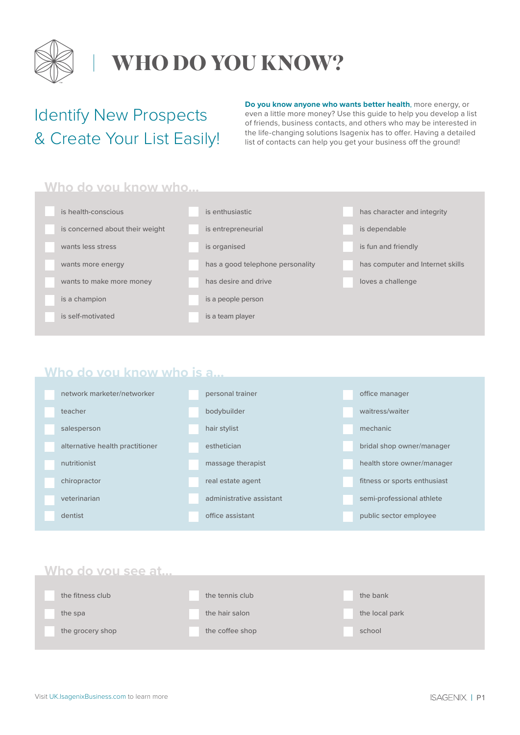

### **WHO DO YOU KNOW?**

### Identify New Prospects & Create Your List Easily!

**Do you know anyone who wants better health**, more energy, or even a little more money? Use this guide to help you develop a list of friends, business contacts, and others who may be interested in the life-changing solutions Isagenix has to offer. Having a detailed list of contacts can help you get your business off the ground!

#### **Who do you know who…**

| is health-conscious             | is enthusiastic                  | has character and integrity      |
|---------------------------------|----------------------------------|----------------------------------|
| is concerned about their weight | is entrepreneurial               | is dependable                    |
| wants less stress               | is organised                     | is fun and friendly              |
| wants more energy               | has a good telephone personality | has computer and Internet skills |
| wants to make more money        | has desire and drive             | loves a challenge                |
| is a champion                   | is a people person               |                                  |
| is self-motivated               | is a team player                 |                                  |

#### **Who do you know who is a…**

| network marketer/networker      | personal trainer         | office manager               |
|---------------------------------|--------------------------|------------------------------|
| teacher                         | bodybuilder              | waitress/waiter              |
| salesperson                     | hair stylist             | mechanic                     |
| alternative health practitioner | esthetician              | bridal shop owner/manager    |
| nutritionist                    | massage therapist        | health store owner/manager   |
| chiropractor                    | real estate agent        | fitness or sports enthusiast |
| veterinarian                    | administrative assistant | semi-professional athlete    |
| dentist                         | office assistant         | public sector employee       |

#### **Who do you see at…**

| the fitness club | the tennis club | the bank       |
|------------------|-----------------|----------------|
| the spa          | the hair salon  | the local park |
| the grocery shop | the coffee shop | school         |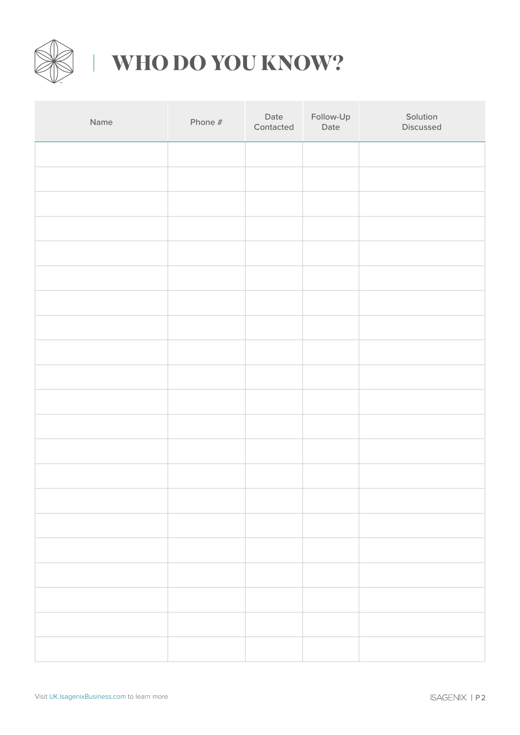

# **WHO DO YOU KNOW?**

| Name | Phone # | Date<br>Contacted | Follow-Up<br>Date | Solution<br>Discussed |
|------|---------|-------------------|-------------------|-----------------------|
|      |         |                   |                   |                       |
|      |         |                   |                   |                       |
|      |         |                   |                   |                       |
|      |         |                   |                   |                       |
|      |         |                   |                   |                       |
|      |         |                   |                   |                       |
|      |         |                   |                   |                       |
|      |         |                   |                   |                       |
|      |         |                   |                   |                       |
|      |         |                   |                   |                       |
|      |         |                   |                   |                       |
|      |         |                   |                   |                       |
|      |         |                   |                   |                       |
|      |         |                   |                   |                       |
|      |         |                   |                   |                       |
|      |         |                   |                   |                       |
|      |         |                   |                   |                       |
|      |         |                   |                   |                       |
|      |         |                   |                   |                       |
|      |         |                   |                   |                       |
|      |         |                   |                   |                       |